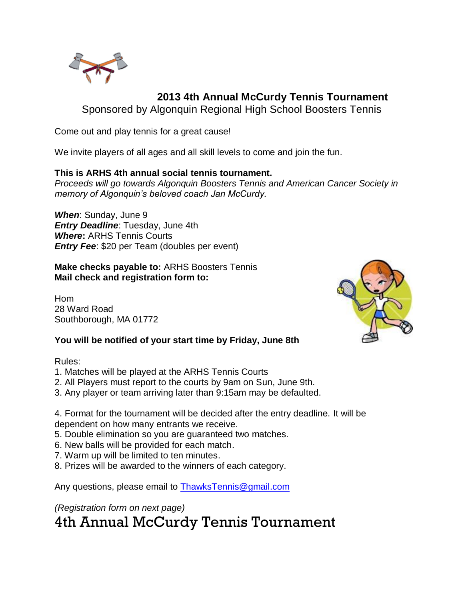

## **2013 4th Annual McCurdy Tennis Tournament**

Sponsored by Algonquin Regional High School Boosters Tennis

Come out and play tennis for a great cause!

We invite players of all ages and all skill levels to come and join the fun.

#### **This is ARHS 4th annual social tennis tournament.**

*Proceeds will go towards Algonquin Boosters Tennis and American Cancer Society in memory of Algonquin's beloved coach Jan McCurdy.*

*When*: Sunday, June 9 *Entry Deadline*: Tuesday, June 4th *Where***:** ARHS Tennis Courts *Entry Fee*: \$20 per Team (doubles per event)

#### **Make checks payable to:** ARHS Boosters Tennis **Mail check and registration form to:**

Hom 28 Ward Road Southborough, MA 01772

### **You will be notified of your start time by Friday, June 8th**

Rules:

- 1. Matches will be played at the ARHS Tennis Courts
- 2. All Players must report to the courts by 9am on Sun, June 9th.
- 3. Any player or team arriving later than 9:15am may be defaulted.

4. Format for the tournament will be decided after the entry deadline. It will be dependent on how many entrants we receive.

- 5. Double elimination so you are guaranteed two matches.
- 6. New balls will be provided for each match.
- 7. Warm up will be limited to ten minutes.
- 8. Prizes will be awarded to the winners of each category.

Any questions, please email to [ThawksTennis@gmail.com](file:///C:/Documents%20and%20Settings/jdoyle/Local%20Settings/Temporary%20Internet%20Files/Content.Outlook/5BA6LPQM/ThawksTennis@gmail.com)

*(Registration form on next page)*

4th Annual McCurdy Tennis Tournament